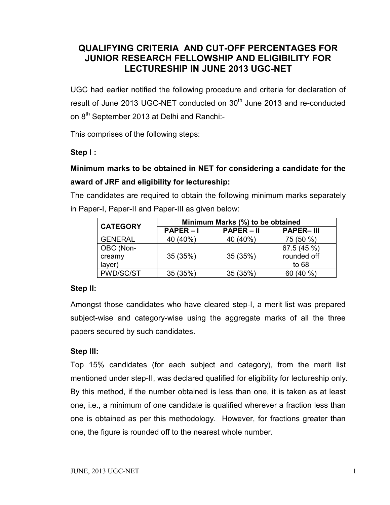### **QUALIFYING CRITERIA AND CUT-OFF PERCENTAGES FOR JUNIOR RESEARCH FELLOWSHIP AND ELIGIBILITY FOR LECTURESHIP IN JUNE 2013 UGC-NET**

UGC had earlier notified the following procedure and criteria for declaration of result of June 2013 UGC-NET conducted on 30<sup>th</sup> June 2013 and re-conducted on 8<sup>th</sup> September 2013 at Delhi and Ranchi:-

This comprises of the following steps:

#### **Step I :**

# **Minimum marks to be obtained in NET for considering a candidate for the award of JRF and eligibility for lectureship:**

The candidates are required to obtain the following minimum marks separately in Paper-I, Paper-II and Paper-III as given below:

| <b>CATEGORY</b> | Minimum Marks (%) to be obtained |              |                  |  |  |
|-----------------|----------------------------------|--------------|------------------|--|--|
|                 | $PAPER - I$                      | $PAPER - II$ | <b>PAPER-III</b> |  |  |
| <b>GENERAL</b>  | 40 (40%)                         | 40 (40%)     | 75 (50 %)        |  |  |
| OBC (Non-       |                                  |              | 67.5 (45 %)      |  |  |
| creamy          | 35 (35%)                         | 35 (35%)     | rounded off      |  |  |
| layer)          |                                  |              | to $68$          |  |  |
| PWD/SC/ST       | 35 (35%)                         | 35 (35%)     | 60 (40 %)        |  |  |

#### **Step II:**

Amongst those candidates who have cleared step-I, a merit list was prepared subject-wise and category-wise using the aggregate marks of all the three papers secured by such candidates.

#### **Step III:**

Top 15% candidates (for each subject and category), from the merit list mentioned under step-II, was declared qualified for eligibility for lectureship only. By this method, if the number obtained is less than one, it is taken as at least one, i.e., a minimum of one candidate is qualified wherever a fraction less than one is obtained as per this methodology. However, for fractions greater than one, the figure is rounded off to the nearest whole number.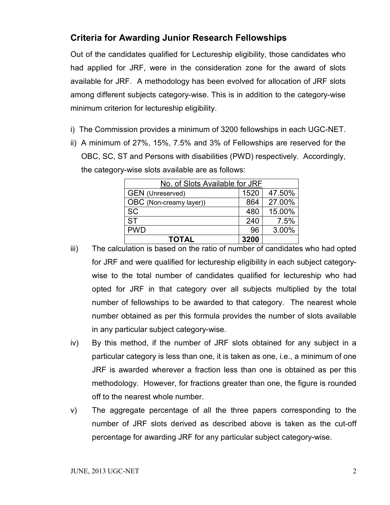## **Criteria for Awarding Junior Research Fellowships**

Out of the candidates qualified for Lectureship eligibility, those candidates who had applied for JRF, were in the consideration zone for the award of slots available for JRF. A methodology has been evolved for allocation of JRF slots among different subjects category-wise. This is in addition to the category-wise minimum criterion for lectureship eligibility.

- i) The Commission provides a minimum of 3200 fellowships in each UGC-NET.
- ii) A minimum of 27%, 15%, 7.5% and 3% of Fellowships are reserved for the OBC, SC, ST and Persons with disabilities (PWD) respectively. Accordingly, the category-wise slots available are as follows:

| No. of Slots Available for JRF            |     |        |  |  |
|-------------------------------------------|-----|--------|--|--|
| 1520<br>47.50%<br><b>GEN</b> (Unreserved) |     |        |  |  |
| OBC (Non-creamy layer))                   | 864 | 27.00% |  |  |
| <b>SC</b>                                 | 480 | 15.00% |  |  |
| <b>ST</b>                                 | 240 | 7.5%   |  |  |
| <b>PWD</b>                                | 96  | 3.00%  |  |  |
| 3200<br><b>TOTAL</b>                      |     |        |  |  |

- iii) The calculation is based on the ratio of number of candidates who had opted for JRF and were qualified for lectureship eligibility in each subject categorywise to the total number of candidates qualified for lectureship who had opted for JRF in that category over all subjects multiplied by the total number of fellowships to be awarded to that category. The nearest whole number obtained as per this formula provides the number of slots available in any particular subject category-wise.
- iv) By this method, if the number of JRF slots obtained for any subject in a particular category is less than one, it is taken as one, i.e., a minimum of one JRF is awarded wherever a fraction less than one is obtained as per this methodology. However, for fractions greater than one, the figure is rounded off to the nearest whole number.
- v) The aggregate percentage of all the three papers corresponding to the number of JRF slots derived as described above is taken as the cut-off percentage for awarding JRF for any particular subject category-wise.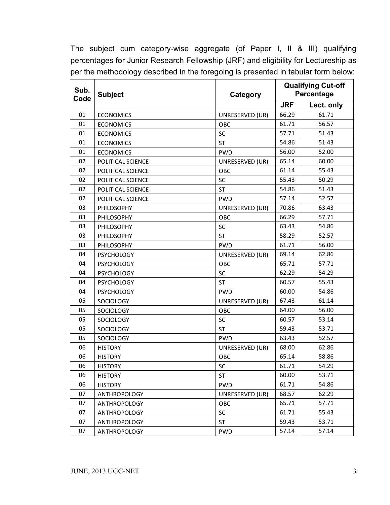The subject cum category-wise aggregate (of Paper I, II & III) qualifying percentages for Junior Research Fellowship (JRF) and eligibility for Lectureship as per the methodology described in the foregoing is presented in tabular form below:

| Sub.<br>Code | <b>Subject</b><br>Category |                 |            | <b>Qualifying Cut-off</b><br>Percentage |
|--------------|----------------------------|-----------------|------------|-----------------------------------------|
|              |                            |                 | <b>JRF</b> | Lect. only                              |
| 01           | <b>ECONOMICS</b>           | UNRESERVED (UR) | 66.29      | 61.71                                   |
| 01           | <b>ECONOMICS</b>           | OBC             | 61.71      | 56.57                                   |
| 01           | <b>ECONOMICS</b>           | SC              | 57.71      | 51.43                                   |
| 01           | <b>ECONOMICS</b>           | <b>ST</b>       | 54.86      | 51.43                                   |
| 01           | <b>ECONOMICS</b>           | <b>PWD</b>      | 56.00      | 52.00                                   |
| 02           | POLITICAL SCIENCE          | UNRESERVED (UR) | 65.14      | 60.00                                   |
| 02           | POLITICAL SCIENCE          | OBC             | 61.14      | 55.43                                   |
| 02           | POLITICAL SCIENCE          | SC              | 55.43      | 50.29                                   |
| 02           | POLITICAL SCIENCE          | <b>ST</b>       | 54.86      | 51.43                                   |
| 02           | POLITICAL SCIENCE          | <b>PWD</b>      | 57.14      | 52.57                                   |
| 03           | PHILOSOPHY                 | UNRESERVED (UR) | 70.86      | 63.43                                   |
| 03           | PHILOSOPHY                 | OBC             | 66.29      | 57.71                                   |
| 03           | PHILOSOPHY                 | SC              | 63.43      | 54.86                                   |
| 03           | PHILOSOPHY                 | <b>ST</b>       | 58.29      | 52.57                                   |
| 03           | PHILOSOPHY                 | <b>PWD</b>      | 61.71      | 56.00                                   |
| 04           | <b>PSYCHOLOGY</b>          | UNRESERVED (UR) | 69.14      | 62.86                                   |
| 04           | <b>PSYCHOLOGY</b>          | OBC             | 65.71      | 57.71                                   |
| 04           | <b>PSYCHOLOGY</b>          | SC              | 62.29      | 54.29                                   |
| 04           | <b>PSYCHOLOGY</b>          | <b>ST</b>       | 60.57      | 55.43                                   |
| 04           | <b>PSYCHOLOGY</b>          | <b>PWD</b>      | 60.00      | 54.86                                   |
| 05           | SOCIOLOGY                  | UNRESERVED (UR) | 67.43      | 61.14                                   |
| 05           | <b>SOCIOLOGY</b>           | OBC             | 64.00      | 56.00                                   |
| 05           | SOCIOLOGY                  | SC              | 60.57      | 53.14                                   |
| 05           | SOCIOLOGY                  | <b>ST</b>       | 59.43      | 53.71                                   |
| 05           | SOCIOLOGY                  | <b>PWD</b>      | 63.43      | 52.57                                   |
| 06           | <b>HISTORY</b>             | UNRESERVED (UR) | 68.00      | 62.86                                   |
| 06           | <b>HISTORY</b>             | OBC             | 65.14      | 58.86                                   |
| 06           | <b>HISTORY</b>             | SC              | 61.71      | 54.29                                   |
| 06           | <b>HISTORY</b>             | ST              | 60.00      | 53.71                                   |
| 06           | <b>HISTORY</b>             | <b>PWD</b>      | 61.71      | 54.86                                   |
| 07           | <b>ANTHROPOLOGY</b>        | UNRESERVED (UR) | 68.57      | 62.29                                   |
| 07           | <b>ANTHROPOLOGY</b>        | OBC             | 65.71      | 57.71                                   |
| 07           | <b>ANTHROPOLOGY</b>        | SC              | 61.71      | 55.43                                   |
| 07           | <b>ANTHROPOLOGY</b>        | <b>ST</b>       | 59.43      | 53.71                                   |
| 07           | <b>ANTHROPOLOGY</b>        | <b>PWD</b>      | 57.14      | 57.14                                   |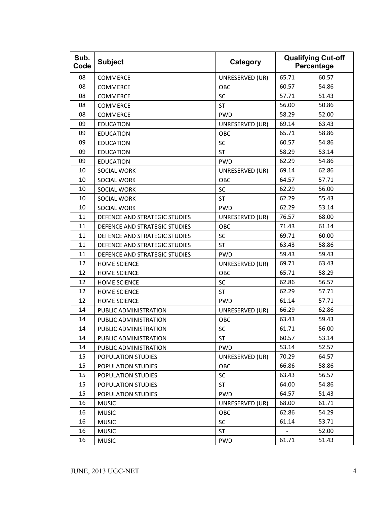| Sub.<br>Code | <b>Subject</b>                | Category        | <b>Qualifying Cut-off</b><br>Percentage |       |
|--------------|-------------------------------|-----------------|-----------------------------------------|-------|
| 08           | COMMERCE                      | UNRESERVED (UR) | 65.71                                   | 60.57 |
| 08           | COMMERCE                      | OBC             | 60.57                                   | 54.86 |
| 08           | <b>COMMERCE</b>               | SC              | 57.71                                   | 51.43 |
| 08           | COMMERCE                      | <b>ST</b>       | 56.00                                   | 50.86 |
| 08           | <b>COMMERCE</b>               | <b>PWD</b>      | 58.29                                   | 52.00 |
| 09           | <b>EDUCATION</b>              | UNRESERVED (UR) | 69.14                                   | 63.43 |
| 09           | <b>EDUCATION</b>              | OBC             | 65.71                                   | 58.86 |
| 09           | <b>EDUCATION</b>              | SC              | 60.57                                   | 54.86 |
| 09           | <b>EDUCATION</b>              | <b>ST</b>       | 58.29                                   | 53.14 |
| 09           | <b>EDUCATION</b>              | <b>PWD</b>      | 62.29                                   | 54.86 |
| 10           | SOCIAL WORK                   | UNRESERVED (UR) | 69.14                                   | 62.86 |
| 10           | SOCIAL WORK                   | OBC             | 64.57                                   | 57.71 |
| 10           | <b>SOCIAL WORK</b>            | SC              | 62.29                                   | 56.00 |
| 10           | SOCIAL WORK                   | <b>ST</b>       | 62.29                                   | 55.43 |
| 10           | SOCIAL WORK                   | <b>PWD</b>      | 62.29                                   | 53.14 |
| 11           | DEFENCE AND STRATEGIC STUDIES | UNRESERVED (UR) | 76.57                                   | 68.00 |
| 11           | DEFENCE AND STRATEGIC STUDIES | OBC             | 71.43                                   | 61.14 |
| 11           | DEFENCE AND STRATEGIC STUDIES | SC              | 69.71                                   | 60.00 |
| 11           | DEFENCE AND STRATEGIC STUDIES | <b>ST</b>       | 63.43                                   | 58.86 |
| 11           | DEFENCE AND STRATEGIC STUDIES | <b>PWD</b>      | 59.43                                   | 59.43 |
| 12           | <b>HOME SCIENCE</b>           | UNRESERVED (UR) | 69.71                                   | 63.43 |
| 12           | <b>HOME SCIENCE</b>           | <b>OBC</b>      | 65.71                                   | 58.29 |
| 12           | <b>HOME SCIENCE</b>           | SC              | 62.86                                   | 56.57 |
| 12           | <b>HOME SCIENCE</b>           | <b>ST</b>       | 62.29                                   | 57.71 |
| 12           | HOME SCIENCE                  | <b>PWD</b>      | 61.14                                   | 57.71 |
| 14           | PUBLIC ADMINISTRATION         | UNRESERVED (UR) | 66.29                                   | 62.86 |
| 14           | PUBLIC ADMINISTRATION         | OBC             | 63.43                                   | 59.43 |
| 14           | PUBLIC ADMINISTRATION         | SC              | 61.71                                   | 56.00 |
| 14           | PUBLIC ADMINISTRATION         | ST              | 60.57                                   | 53.14 |
| 14           | PUBLIC ADMINISTRATION         | <b>PWD</b>      | 53.14                                   | 52.57 |
| 15           | POPULATION STUDIES            | UNRESERVED (UR) | 70.29                                   | 64.57 |
| 15           | POPULATION STUDIES            | OBC             | 66.86                                   | 58.86 |
| 15           | POPULATION STUDIES            | SC              | 63.43                                   | 56.57 |
| 15           | POPULATION STUDIES            | ST              | 64.00                                   | 54.86 |
| 15           | POPULATION STUDIES            | <b>PWD</b>      | 64.57                                   | 51.43 |
| 16           | <b>MUSIC</b>                  | UNRESERVED (UR) | 68.00                                   | 61.71 |
| 16           | <b>MUSIC</b>                  | OBC             | 62.86                                   | 54.29 |
| 16           | <b>MUSIC</b>                  | SC              | 61.14                                   | 53.71 |
| 16           | <b>MUSIC</b>                  | <b>ST</b>       |                                         | 52.00 |
| 16           | <b>MUSIC</b>                  | <b>PWD</b>      | 61.71                                   | 51.43 |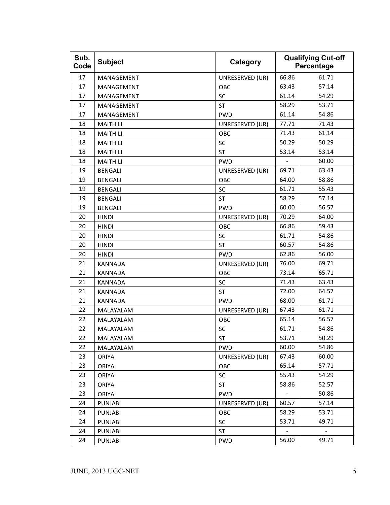| Sub.<br>Code | <b>Subject</b>  | Category        | <b>Qualifying Cut-off</b><br>Percentage |                          |
|--------------|-----------------|-----------------|-----------------------------------------|--------------------------|
| 17           | MANAGEMENT      | UNRESERVED (UR) | 66.86                                   | 61.71                    |
| 17           | MANAGEMENT      | OBC             | 63.43                                   | 57.14                    |
| 17           | MANAGEMENT      | SC              | 61.14                                   | 54.29                    |
| 17           | MANAGEMENT      | <b>ST</b>       | 58.29                                   | 53.71                    |
| 17           | MANAGEMENT      | <b>PWD</b>      | 61.14                                   | 54.86                    |
| 18           | <b>MAITHILI</b> | UNRESERVED (UR) | 77.71                                   | 71.43                    |
| 18           | <b>MAITHILI</b> | OBC             | 71.43                                   | 61.14                    |
| 18           | <b>MAITHILI</b> | SC              | 50.29                                   | 50.29                    |
| 18           | <b>MAITHILI</b> | <b>ST</b>       | 53.14                                   | 53.14                    |
| 18           | <b>MAITHILI</b> | <b>PWD</b>      |                                         | 60.00                    |
| 19           | <b>BENGALI</b>  | UNRESERVED (UR) | 69.71                                   | 63.43                    |
| 19           | <b>BENGALI</b>  | OBC             | 64.00                                   | 58.86                    |
| 19           | <b>BENGALI</b>  | SC              | 61.71                                   | 55.43                    |
| 19           | <b>BENGALI</b>  | <b>ST</b>       | 58.29                                   | 57.14                    |
| 19           | <b>BENGALI</b>  | <b>PWD</b>      | 60.00                                   | 56.57                    |
| 20           | <b>HINDI</b>    | UNRESERVED (UR) | 70.29                                   | 64.00                    |
| 20           | <b>HINDI</b>    | OBC             | 66.86                                   | 59.43                    |
| 20           | <b>HINDI</b>    | SC              | 61.71                                   | 54.86                    |
| 20           | <b>HINDI</b>    | <b>ST</b>       | 60.57                                   | 54.86                    |
| 20           | <b>HINDI</b>    | <b>PWD</b>      | 62.86                                   | 56.00                    |
| 21           | <b>KANNADA</b>  | UNRESERVED (UR) | 76.00                                   | 69.71                    |
| 21           | <b>KANNADA</b>  | OBC             | 73.14                                   | 65.71                    |
| 21           | <b>KANNADA</b>  | SC              | 71.43                                   | 63.43                    |
| 21           | KANNADA         | <b>ST</b>       | 72.00                                   | 64.57                    |
| 21           | <b>KANNADA</b>  | <b>PWD</b>      | 68.00                                   | 61.71                    |
| 22           | MALAYALAM       | UNRESERVED (UR) | 67.43                                   | 61.71                    |
| 22           | MALAYALAM       | OBC             | 65.14                                   | 56.57                    |
| 22           | MALAYALAM       | SC              | 61.71                                   | 54.86                    |
| 22           | MALAYALAM       | ST              | 53.71                                   | 50.29                    |
| 22           | MALAYALAM       | <b>PWD</b>      | 60.00                                   | 54.86                    |
| 23           | <b>ORIYA</b>    | UNRESERVED (UR) | 67.43                                   | 60.00                    |
| 23           | <b>ORIYA</b>    | <b>OBC</b>      | 65.14                                   | 57.71                    |
| 23           | <b>ORIYA</b>    | SC              | 55.43                                   | 54.29                    |
| 23           | <b>ORIYA</b>    | ST              | 58.86                                   | 52.57                    |
| 23           | <b>ORIYA</b>    | <b>PWD</b>      | $\blacksquare$                          | 50.86                    |
| 24           | <b>PUNJABI</b>  | UNRESERVED (UR) | 60.57                                   | 57.14                    |
| 24           | <b>PUNJABI</b>  | OBC             | 58.29                                   | 53.71                    |
| 24           | <b>PUNJABI</b>  | SC              | 53.71                                   | 49.71                    |
| 24           | <b>PUNJABI</b>  | <b>ST</b>       | $\qquad \qquad \blacksquare$            | $\overline{\phantom{a}}$ |
| 24           | <b>PUNJABI</b>  | <b>PWD</b>      | 56.00                                   | 49.71                    |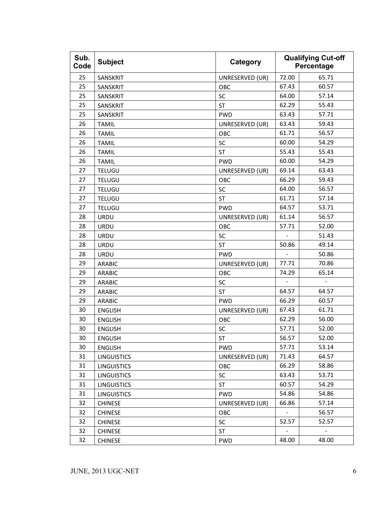| Sub.<br>Code | <b>Subject</b>     | Category        | <b>Qualifying Cut-off</b><br>Percentage |                          |
|--------------|--------------------|-----------------|-----------------------------------------|--------------------------|
| 25           | SANSKRIT           | UNRESERVED (UR) | 72.00                                   | 65.71                    |
| 25           | SANSKRIT           | OBC             | 67.43                                   | 60.57                    |
| 25           | SANSKRIT           | SC              | 64.00                                   | 57.14                    |
| 25           | SANSKRIT           | ST              | 62.29                                   | 55.43                    |
| 25           | SANSKRIT           | <b>PWD</b>      | 63.43                                   | 57.71                    |
| 26           | <b>TAMIL</b>       | UNRESERVED (UR) | 63.43                                   | 59.43                    |
| 26           | <b>TAMIL</b>       | OBC             | 61.71                                   | 56.57                    |
| 26           | <b>TAMIL</b>       | SC              | 60.00                                   | 54.29                    |
| 26           | <b>TAMIL</b>       | <b>ST</b>       | 55.43                                   | 55.43                    |
| 26           | <b>TAMIL</b>       | <b>PWD</b>      | 60.00                                   | 54.29                    |
| 27           | TELUGU             | UNRESERVED (UR) | 69.14                                   | 63.43                    |
| 27           | <b>TELUGU</b>      | OBC             | 66.29                                   | 59.43                    |
| 27           | <b>TELUGU</b>      | SC              | 64.00                                   | 56.57                    |
| 27           | <b>TELUGU</b>      | <b>ST</b>       | 61.71                                   | 57.14                    |
| 27           | <b>TELUGU</b>      | <b>PWD</b>      | 64.57                                   | 53.71                    |
| 28           | URDU               | UNRESERVED (UR) | 61.14                                   | 56.57                    |
| 28           | URDU               | OBC             | 57.71                                   | 52.00                    |
| 28           | <b>URDU</b>        | SC              |                                         | 51.43                    |
| 28           | URDU               | <b>ST</b>       | 50.86                                   | 49.14                    |
| 28           | URDU               | <b>PWD</b>      |                                         | 50.86                    |
| 29           | <b>ARABIC</b>      | UNRESERVED (UR) | 77.71                                   | 70.86                    |
| 29           | <b>ARABIC</b>      | OBC             | 74.29                                   | 65.14                    |
| 29           | <b>ARABIC</b>      | SC              | $\sim$                                  |                          |
| 29           | <b>ARABIC</b>      | <b>ST</b>       | 64.57                                   | 64.57                    |
| 29           | <b>ARABIC</b>      | <b>PWD</b>      | 66.29                                   | 60.57                    |
| 30           | <b>ENGLISH</b>     | UNRESERVED (UR) | 67.43                                   | 61.71                    |
| 30           | <b>ENGLISH</b>     | OBC             | 62.29                                   | 56.00                    |
| 30           | <b>ENGLISH</b>     | SC              | 57.71                                   | 52.00                    |
| 30           | ENGLISH            | ST              | 56.57                                   | 52.00                    |
| 30           | <b>ENGLISH</b>     | <b>PWD</b>      | 57.71                                   | 53.14                    |
| 31           | <b>LINGUISTICS</b> | UNRESERVED (UR) | 71.43                                   | 64.57                    |
| 31           | <b>LINGUISTICS</b> | OBC             | 66.29                                   | 58.86                    |
| 31           | <b>LINGUISTICS</b> | SC              | 63.43                                   | 53.71                    |
| 31           | <b>LINGUISTICS</b> | <b>ST</b>       | 60.57                                   | 54.29                    |
| 31           | <b>LINGUISTICS</b> | <b>PWD</b>      | 54.86                                   | 54.86                    |
| 32           | <b>CHINESE</b>     | UNRESERVED (UR) | 66.86                                   | 57.14                    |
| 32           | <b>CHINESE</b>     | OBC             |                                         | 56.57                    |
| 32           | <b>CHINESE</b>     | SC              | 52.57                                   | 52.57                    |
| 32           | <b>CHINESE</b>     | ST              | $\qquad \qquad \blacksquare$            | $\overline{\phantom{a}}$ |
| 32           | <b>CHINESE</b>     | <b>PWD</b>      | 48.00                                   | 48.00                    |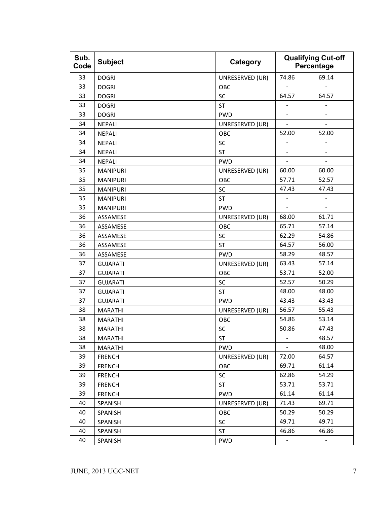| Sub.<br>Code | <b>Subject</b>  | Category        | <b>Qualifying Cut-off</b><br>Percentage |               |
|--------------|-----------------|-----------------|-----------------------------------------|---------------|
| 33           | <b>DOGRI</b>    | UNRESERVED (UR) | 74.86                                   | 69.14         |
| 33           | <b>DOGRI</b>    | OBC             |                                         |               |
| 33           | <b>DOGRI</b>    | SC              | 64.57                                   | 64.57         |
| 33           | <b>DOGRI</b>    | <b>ST</b>       | ÷                                       |               |
| 33           | <b>DOGRI</b>    | <b>PWD</b>      | $\overline{\phantom{0}}$                |               |
| 34           | <b>NEPALI</b>   | UNRESERVED (UR) | ÷,                                      |               |
| 34           | <b>NEPALI</b>   | OBC             | 52.00                                   | 52.00         |
| 34           | <b>NEPALI</b>   | SC              | -                                       |               |
| 34           | <b>NEPALI</b>   | <b>ST</b>       | $\frac{1}{2}$                           | ٠             |
| 34           | <b>NEPALI</b>   | <b>PWD</b>      |                                         |               |
| 35           | <b>MANIPURI</b> | UNRESERVED (UR) | 60.00                                   | 60.00         |
| 35           | <b>MANIPURI</b> | OBC             | 57.71                                   | 52.57         |
| 35           | <b>MANIPURI</b> | SC              | 47.43                                   | 47.43         |
| 35           | <b>MANIPURI</b> | <b>ST</b>       | $\overline{a}$                          | $\frac{1}{2}$ |
| 35           | <b>MANIPURI</b> | <b>PWD</b>      |                                         | ÷.            |
| 36           | ASSAMESE        | UNRESERVED (UR) | 68.00                                   | 61.71         |
| 36           | ASSAMESE        | OBC             | 65.71                                   | 57.14         |
| 36           | ASSAMESE        | SC              | 62.29                                   | 54.86         |
| 36           | ASSAMESE        | <b>ST</b>       | 64.57                                   | 56.00         |
| 36           | ASSAMESE        | <b>PWD</b>      | 58.29                                   | 48.57         |
| 37           | <b>GUJARATI</b> | UNRESERVED (UR) | 63.43                                   | 57.14         |
| 37           | <b>GUJARATI</b> | OBC             | 53.71                                   | 52.00         |
| 37           | <b>GUJARATI</b> | SC              | 52.57                                   | 50.29         |
| 37           | <b>GUJARATI</b> | <b>ST</b>       | 48.00                                   | 48.00         |
| 37           | <b>GUJARATI</b> | <b>PWD</b>      | 43.43                                   | 43.43         |
| 38           | <b>MARATHI</b>  | UNRESERVED (UR) | 56.57                                   | 55.43         |
| 38           | <b>MARATHI</b>  | OBC             | 54.86                                   | 53.14         |
| 38           | <b>MARATHI</b>  | SC              | 50.86                                   | 47.43         |
| 38           | <b>MARATHI</b>  | ST              |                                         | 48.57         |
| 38           | <b>MARATHI</b>  | <b>PWD</b>      |                                         | 48.00         |
| 39           | <b>FRENCH</b>   | UNRESERVED (UR) | 72.00                                   | 64.57         |
| 39           | <b>FRENCH</b>   | OBC             | 69.71                                   | 61.14         |
| 39           | <b>FRENCH</b>   | SC              | 62.86                                   | 54.29         |
| 39           | <b>FRENCH</b>   | ST              | 53.71                                   | 53.71         |
| 39           | <b>FRENCH</b>   | <b>PWD</b>      | 61.14                                   | 61.14         |
| 40           | SPANISH         | UNRESERVED (UR) | 71.43                                   | 69.71         |
| 40           | SPANISH         | OBC             | 50.29                                   | 50.29         |
| 40           | <b>SPANISH</b>  | SC              | 49.71                                   | 49.71         |
| 40           | SPANISH         | <b>ST</b>       | 46.86                                   | 46.86         |
| 40           | SPANISH         | <b>PWD</b>      |                                         |               |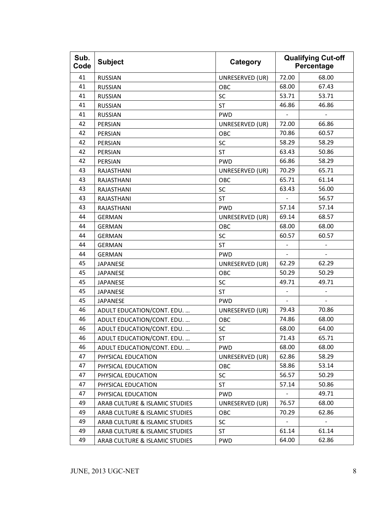| Sub.<br>Code | <b>Subject</b>                 | Category        |       | <b>Qualifying Cut-off</b><br>Percentage |
|--------------|--------------------------------|-----------------|-------|-----------------------------------------|
| 41           | <b>RUSSIAN</b>                 | UNRESERVED (UR) | 72.00 | 68.00                                   |
| 41           | <b>RUSSIAN</b>                 | OBC             | 68.00 | 67.43                                   |
| 41           | <b>RUSSIAN</b>                 | SC              | 53.71 | 53.71                                   |
| 41           | <b>RUSSIAN</b>                 | <b>ST</b>       | 46.86 | 46.86                                   |
| 41           | <b>RUSSIAN</b>                 | <b>PWD</b>      |       |                                         |
| 42           | PERSIAN                        | UNRESERVED (UR) | 72.00 | 66.86                                   |
| 42           | PERSIAN                        | OBC             | 70.86 | 60.57                                   |
| 42           | PERSIAN                        | SC              | 58.29 | 58.29                                   |
| 42           | PERSIAN                        | <b>ST</b>       | 63.43 | 50.86                                   |
| 42           | PERSIAN                        | <b>PWD</b>      | 66.86 | 58.29                                   |
| 43           | RAJASTHANI                     | UNRESERVED (UR) | 70.29 | 65.71                                   |
| 43           | RAJASTHANI                     | OBC             | 65.71 | 61.14                                   |
| 43           | RAJASTHANI                     | SC              | 63.43 | 56.00                                   |
| 43           | RAJASTHANI                     | <b>ST</b>       |       | 56.57                                   |
| 43           | RAJASTHANI                     | <b>PWD</b>      | 57.14 | 57.14                                   |
| 44           | <b>GERMAN</b>                  | UNRESERVED (UR) | 69.14 | 68.57                                   |
| 44           | <b>GERMAN</b>                  | OBC             | 68.00 | 68.00                                   |
| 44           | <b>GERMAN</b>                  | SC              | 60.57 | 60.57                                   |
| 44           | <b>GERMAN</b>                  | <b>ST</b>       |       |                                         |
| 44           | <b>GERMAN</b>                  | <b>PWD</b>      |       |                                         |
| 45           | <b>JAPANESE</b>                | UNRESERVED (UR) | 62.29 | 62.29                                   |
| 45           | <b>JAPANESE</b>                | OBC             | 50.29 | 50.29                                   |
| 45           | <b>JAPANESE</b>                | SC              | 49.71 | 49.71                                   |
| 45           | <b>JAPANESE</b>                | <b>ST</b>       |       |                                         |
| 45           | <b>JAPANESE</b>                | <b>PWD</b>      |       |                                         |
| 46           | ADULT EDUCATION/CONT. EDU.     | UNRESERVED (UR) | 79.43 | 70.86                                   |
| 46           | ADULT EDUCATION/CONT. EDU.     | OBC             | 74.86 | 68.00                                   |
| 46           | ADULT EDUCATION/CONT. EDU.     | SC              | 68.00 | 64.00                                   |
| 46           | ADULT EDUCATION/CONT. EDU.     | ST              | 71.43 | 65.71                                   |
| 46           | ADULT EDUCATION/CONT. EDU.     | <b>PWD</b>      | 68.00 | 68.00                                   |
| 47           | PHYSICAL EDUCATION             | UNRESERVED (UR) | 62.86 | 58.29                                   |
| 47           | PHYSICAL EDUCATION             | OBC             | 58.86 | 53.14                                   |
| 47           | PHYSICAL EDUCATION             | SC              | 56.57 | 50.29                                   |
| 47           | PHYSICAL EDUCATION             | ST              | 57.14 | 50.86                                   |
| 47           | PHYSICAL EDUCATION             | <b>PWD</b>      |       | 49.71                                   |
| 49           | ARAB CULTURE & ISLAMIC STUDIES | UNRESERVED (UR) | 76.57 | 68.00                                   |
| 49           | ARAB CULTURE & ISLAMIC STUDIES | OBC             | 70.29 | 62.86                                   |
| 49           | ARAB CULTURE & ISLAMIC STUDIES | SC              |       |                                         |
| 49           | ARAB CULTURE & ISLAMIC STUDIES | ST              | 61.14 | 61.14                                   |
| 49           | ARAB CULTURE & ISLAMIC STUDIES | <b>PWD</b>      | 64.00 | 62.86                                   |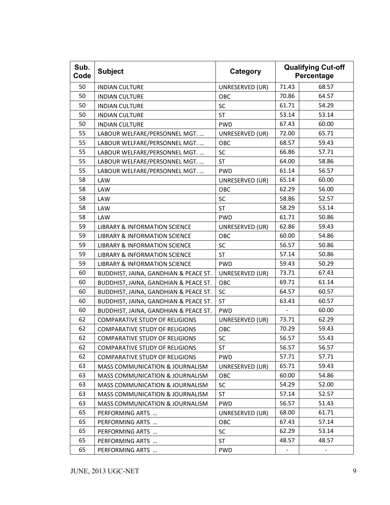| Sub.<br>Code | <b>Subject</b>                             | Category        |       | <b>Qualifying Cut-off</b><br>Percentage |
|--------------|--------------------------------------------|-----------------|-------|-----------------------------------------|
| 50           | <b>INDIAN CULTURE</b>                      | UNRESERVED (UR) | 71.43 | 68.57                                   |
| 50           | <b>INDIAN CULTURE</b>                      | OBC             | 70.86 | 64.57                                   |
| 50           | <b>INDIAN CULTURE</b>                      | SC              | 61.71 | 54.29                                   |
| 50           | <b>INDIAN CULTURE</b>                      | <b>ST</b>       | 53.14 | 53.14                                   |
| 50           | <b>INDIAN CULTURE</b>                      | <b>PWD</b>      | 67.43 | 60.00                                   |
| 55           | LABOUR WELFARE/PERSONNEL MGT.              | UNRESERVED (UR) | 72.00 | 65.71                                   |
| 55           | LABOUR WELFARE/PERSONNEL MGT.              | OBC             | 68.57 | 59.43                                   |
| 55           | LABOUR WELFARE/PERSONNEL MGT.              | SC              | 66.86 | 57.71                                   |
| 55           | LABOUR WELFARE/PERSONNEL MGT.              | <b>ST</b>       | 64.00 | 58.86                                   |
| 55           | LABOUR WELFARE/PERSONNEL MGT.              | <b>PWD</b>      | 61.14 | 56.57                                   |
| 58           | LAW                                        | UNRESERVED (UR) | 65.14 | 60.00                                   |
| 58           | <b>LAW</b>                                 | OBC             | 62.29 | 56.00                                   |
| 58           | <b>LAW</b>                                 | SC              | 58.86 | 52.57                                   |
| 58           | LAW                                        | <b>ST</b>       | 58.29 | 53.14                                   |
| 58           | <b>LAW</b>                                 | <b>PWD</b>      | 61.71 | 50.86                                   |
| 59           | <b>LIBRARY &amp; INFORMATION SCIENCE</b>   | UNRESERVED (UR) | 62.86 | 59.43                                   |
| 59           | <b>LIBRARY &amp; INFORMATION SCIENCE</b>   | OBC             | 60.00 | 54.86                                   |
| 59           | <b>LIBRARY &amp; INFORMATION SCIENCE</b>   | SC              | 56.57 | 50.86                                   |
| 59           | LIBRARY & INFORMATION SCIENCE              | <b>ST</b>       | 57.14 | 50.86                                   |
| 59           | <b>LIBRARY &amp; INFORMATION SCIENCE</b>   | <b>PWD</b>      | 59.43 | 50.29                                   |
| 60           | BUDDHIST, JAINA, GANDHIAN & PEACE ST.      | UNRESERVED (UR) | 73.71 | 67.43                                   |
| 60           | BUDDHIST, JAINA, GANDHIAN & PEACE ST.      | OBC             | 69.71 | 61.14                                   |
| 60           | BUDDHIST, JAINA, GANDHIAN & PEACE ST.      | SC              | 64.57 | 60.57                                   |
| 60           | BUDDHIST, JAINA, GANDHIAN & PEACE ST.      | <b>ST</b>       | 63.43 | 60.57                                   |
| 60           | BUDDHIST, JAINA, GANDHIAN & PEACE ST.      | <b>PWD</b>      |       | 60.00                                   |
| 62           | <b>COMPARATIVE STUDY OF RELIGIONS</b>      | UNRESERVED (UR) | 73.71 | 62.29                                   |
| 62           | <b>COMPARATIVE STUDY OF RELIGIONS</b>      | OBC             | 70.29 | 59.43                                   |
| 62           | <b>COMPARATIVE STUDY OF RELIGIONS</b>      | SC              | 56.57 | 55.43                                   |
| 62           | <b>COMPARATIVE STUDY OF RELIGIONS</b>      | ST              | 56.57 | 56.57                                   |
| 62           | <b>COMPARATIVE STUDY OF RELIGIONS</b>      | <b>PWD</b>      | 57.71 | 57.71                                   |
| 63           | <b>MASS COMMUNICATION &amp; JOURNALISM</b> | UNRESERVED (UR) | 65.71 | 59.43                                   |
| 63           | <b>MASS COMMUNICATION &amp; JOURNALISM</b> | OBC             | 60.00 | 54.86                                   |
| 63           | <b>MASS COMMUNICATION &amp; JOURNALISM</b> | <b>SC</b>       | 54.29 | 52.00                                   |
| 63           | <b>MASS COMMUNICATION &amp; JOURNALISM</b> | ST              | 57.14 | 52.57                                   |
| 63           | <b>MASS COMMUNICATION &amp; JOURNALISM</b> | <b>PWD</b>      | 56.57 | 51.43                                   |
| 65           | PERFORMING ARTS                            | UNRESERVED (UR) | 68.00 | 61.71                                   |
| 65           | PERFORMING ARTS                            | OBC             | 67.43 | 57.14                                   |
| 65           | PERFORMING ARTS                            | SC              | 62.29 | 53.14                                   |
| 65           | PERFORMING ARTS                            | <b>ST</b>       | 48.57 | 48.57                                   |
| 65           | PERFORMING ARTS                            | <b>PWD</b>      |       |                                         |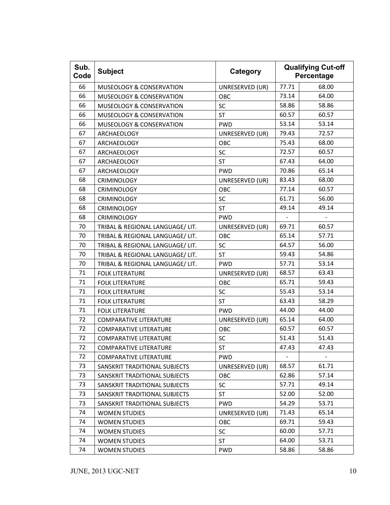| Sub.<br>Code | <b>Subject</b>                      | Category        |       | <b>Qualifying Cut-off</b><br>Percentage |
|--------------|-------------------------------------|-----------------|-------|-----------------------------------------|
| 66           | <b>MUSEOLOGY &amp; CONSERVATION</b> | UNRESERVED (UR) | 77.71 | 68.00                                   |
| 66           | <b>MUSEOLOGY &amp; CONSERVATION</b> | OBC             | 73.14 | 64.00                                   |
| 66           | <b>MUSEOLOGY &amp; CONSERVATION</b> | SC              | 58.86 | 58.86                                   |
| 66           | <b>MUSEOLOGY &amp; CONSERVATION</b> | <b>ST</b>       | 60.57 | 60.57                                   |
| 66           | <b>MUSEOLOGY &amp; CONSERVATION</b> | <b>PWD</b>      | 53.14 | 53.14                                   |
| 67           | ARCHAEOLOGY                         | UNRESERVED (UR) | 79.43 | 72.57                                   |
| 67           | <b>ARCHAEOLOGY</b>                  | OBC             | 75.43 | 68.00                                   |
| 67           | ARCHAEOLOGY                         | SC              | 72.57 | 60.57                                   |
| 67           | ARCHAEOLOGY                         | <b>ST</b>       | 67.43 | 64.00                                   |
| 67           | ARCHAEOLOGY                         | <b>PWD</b>      | 70.86 | 65.14                                   |
| 68           | <b>CRIMINOLOGY</b>                  | UNRESERVED (UR) | 83.43 | 68.00                                   |
| 68           | <b>CRIMINOLOGY</b>                  | OBC             | 77.14 | 60.57                                   |
| 68           | <b>CRIMINOLOGY</b>                  | SC              | 61.71 | 56.00                                   |
| 68           | <b>CRIMINOLOGY</b>                  | <b>ST</b>       | 49.14 | 49.14                                   |
| 68           | <b>CRIMINOLOGY</b>                  | <b>PWD</b>      |       |                                         |
| 70           | TRIBAL & REGIONAL LANGUAGE/ LIT.    | UNRESERVED (UR) | 69.71 | 60.57                                   |
| 70           | TRIBAL & REGIONAL LANGUAGE/ LIT.    | OBC             | 65.14 | 57.71                                   |
| 70           | TRIBAL & REGIONAL LANGUAGE/ LIT.    | SC              | 64.57 | 56.00                                   |
| 70           | TRIBAL & REGIONAL LANGUAGE/ LIT.    | <b>ST</b>       | 59.43 | 54.86                                   |
| 70           | TRIBAL & REGIONAL LANGUAGE/ LIT.    | <b>PWD</b>      | 57.71 | 53.14                                   |
| 71           | <b>FOLK LITERATURE</b>              | UNRESERVED (UR) | 68.57 | 63.43                                   |
| 71           | <b>FOLK LITERATURE</b>              | OBC             | 65.71 | 59.43                                   |
| 71           | <b>FOLK LITERATURE</b>              | SC              | 55.43 | 53.14                                   |
| 71           | <b>FOLK LITERATURE</b>              | <b>ST</b>       | 63.43 | 58.29                                   |
| 71           | <b>FOLK LITERATURE</b>              | <b>PWD</b>      | 44.00 | 44.00                                   |
| 72           | <b>COMPARATIVE LITERATURE</b>       | UNRESERVED (UR) | 65.14 | 64.00                                   |
| 72           | <b>COMPARATIVE LITERATURE</b>       | OBC             | 60.57 | 60.57                                   |
| 72           | <b>COMPARATIVE LITERATURE</b>       | SC              | 51.43 | 51.43                                   |
| 72           | <b>COMPARATIVE LITERATURE</b>       | ST              | 47.43 | 47.43                                   |
| 72           | <b>COMPARATIVE LITERATURE</b>       | <b>PWD</b>      |       |                                         |
| 73           | SANSKRIT TRADITIONAL SUBJECTS       | UNRESERVED (UR) | 68.57 | 61.71                                   |
| 73           | SANSKRIT TRADITIONAL SUBJECTS       | <b>OBC</b>      | 62.86 | 57.14                                   |
| 73           | SANSKRIT TRADITIONAL SUBJECTS       | SC              | 57.71 | 49.14                                   |
| 73           | SANSKRIT TRADITIONAL SUBJECTS       | ST              | 52.00 | 52.00                                   |
| 73           | SANSKRIT TRADITIONAL SUBJECTS       | <b>PWD</b>      | 54.29 | 53.71                                   |
| 74           | <b>WOMEN STUDIES</b>                | UNRESERVED (UR) | 71.43 | 65.14                                   |
| 74           | <b>WOMEN STUDIES</b>                | OBC             | 69.71 | 59.43                                   |
| 74           | <b>WOMEN STUDIES</b>                | SC              | 60.00 | 57.71                                   |
| 74           | <b>WOMEN STUDIES</b>                | <b>ST</b>       | 64.00 | 53.71                                   |
| 74           | <b>WOMEN STUDIES</b>                | PWD             | 58.86 | 58.86                                   |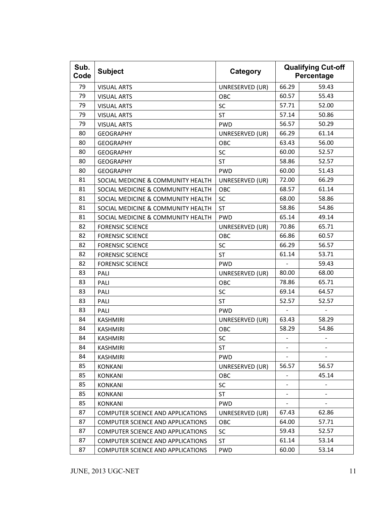| Sub.<br>Code | <b>Subject</b>                           | Category        |                | <b>Qualifying Cut-off</b><br>Percentage |
|--------------|------------------------------------------|-----------------|----------------|-----------------------------------------|
| 79           | <b>VISUAL ARTS</b>                       | UNRESERVED (UR) | 66.29          | 59.43                                   |
| 79           | <b>VISUAL ARTS</b>                       | OBC             | 60.57          | 55.43                                   |
| 79           | <b>VISUAL ARTS</b>                       | SC              | 57.71          | 52.00                                   |
| 79           | <b>VISUAL ARTS</b>                       | <b>ST</b>       | 57.14          | 50.86                                   |
| 79           | <b>VISUAL ARTS</b>                       | <b>PWD</b>      | 56.57          | 50.29                                   |
| 80           | <b>GEOGRAPHY</b>                         | UNRESERVED (UR) | 66.29          | 61.14                                   |
| 80           | <b>GEOGRAPHY</b>                         | OBC             | 63.43          | 56.00                                   |
| 80           | <b>GEOGRAPHY</b>                         | SC              | 60.00          | 52.57                                   |
| 80           | <b>GEOGRAPHY</b>                         | <b>ST</b>       | 58.86          | 52.57                                   |
| 80           | <b>GEOGRAPHY</b>                         | <b>PWD</b>      | 60.00          | 51.43                                   |
| 81           | SOCIAL MEDICINE & COMMUNITY HEALTH       | UNRESERVED (UR) | 72.00          | 66.29                                   |
| 81           | SOCIAL MEDICINE & COMMUNITY HEALTH       | OBC             | 68.57          | 61.14                                   |
| 81           | SOCIAL MEDICINE & COMMUNITY HEALTH       | SC              | 68.00          | 58.86                                   |
| 81           | SOCIAL MEDICINE & COMMUNITY HEALTH       | <b>ST</b>       | 58.86          | 54.86                                   |
| 81           | SOCIAL MEDICINE & COMMUNITY HEALTH       | <b>PWD</b>      | 65.14          | 49.14                                   |
| 82           | <b>FORENSIC SCIENCE</b>                  | UNRESERVED (UR) | 70.86          | 65.71                                   |
| 82           | <b>FORENSIC SCIENCE</b>                  | OBC             | 66.86          | 60.57                                   |
| 82           | <b>FORENSIC SCIENCE</b>                  | SC              | 66.29          | 56.57                                   |
| 82           | <b>FORENSIC SCIENCE</b>                  | <b>ST</b>       | 61.14          | 53.71                                   |
| 82           | <b>FORENSIC SCIENCE</b>                  | <b>PWD</b>      |                | 59.43                                   |
| 83           | PALI                                     | UNRESERVED (UR) | 80.00          | 68.00                                   |
| 83           | PALI                                     | <b>OBC</b>      | 78.86          | 65.71                                   |
| 83           | PALI                                     | SC              | 69.14          | 64.57                                   |
| 83           | PALI                                     | <b>ST</b>       | 52.57          | 52.57                                   |
| 83           | PALI                                     | <b>PWD</b>      |                |                                         |
| 84           | <b>KASHMIRI</b>                          | UNRESERVED (UR) | 63.43          | 58.29                                   |
| 84           | <b>KASHMIRI</b>                          | OBC             | 58.29          | 54.86                                   |
| 84           | <b>KASHMIRI</b>                          | SC              |                |                                         |
| 84           | <b>KASHMIRI</b>                          | ST              | ۰              |                                         |
| 84           | <b>KASHMIRI</b>                          | <b>PWD</b>      |                |                                         |
| 85           | <b>KONKANI</b>                           | UNRESERVED (UR) | 56.57          | 56.57                                   |
| 85           | <b>KONKANI</b>                           | OBC             | $\blacksquare$ | 45.14                                   |
| 85           | <b>KONKANI</b>                           | SC              |                |                                         |
| 85           | <b>KONKANI</b>                           | ST              | $\frac{1}{2}$  |                                         |
| 85           | <b>KONKANI</b>                           | <b>PWD</b>      |                |                                         |
| 87           | <b>COMPUTER SCIENCE AND APPLICATIONS</b> | UNRESERVED (UR) | 67.43          | 62.86                                   |
| 87           | <b>COMPUTER SCIENCE AND APPLICATIONS</b> | OBC             | 64.00          | 57.71                                   |
| 87           | <b>COMPUTER SCIENCE AND APPLICATIONS</b> | <b>SC</b>       | 59.43          | 52.57                                   |
| 87           | COMPUTER SCIENCE AND APPLICATIONS        | <b>ST</b>       | 61.14          | 53.14                                   |
| 87           | COMPUTER SCIENCE AND APPLICATIONS        | <b>PWD</b>      | 60.00          | 53.14                                   |